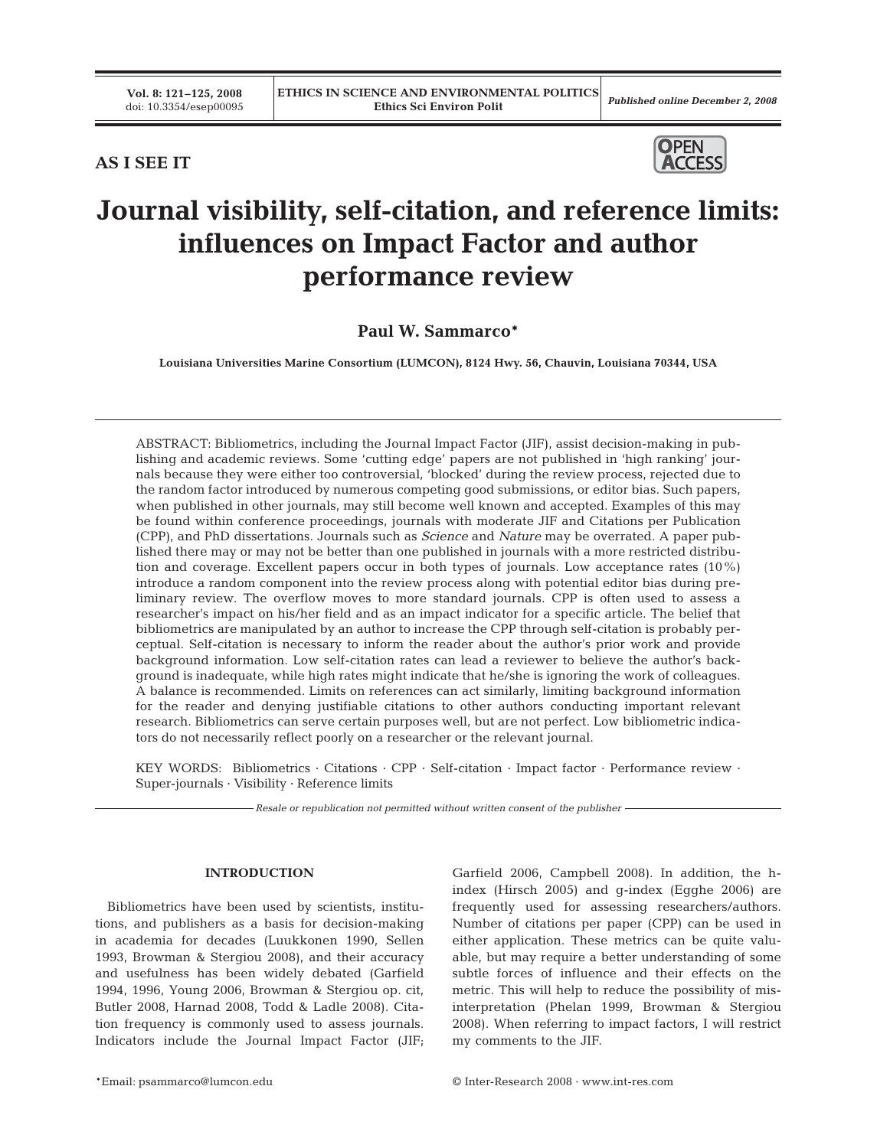# **AS I SEE IT**



# **Journal visibility, self-citation, and reference limits: influences on Impact Factor and author performance review**

## **Paul W. Sammarco\***

**Louisiana Universities Marine Consortium (LUMCON), 8124 Hwy. 56, Chauvin, Louisiana 70344, USA**

ABSTRACT: Bibliometrics, including the Journal Impact Factor (JIF), assist decision-making in publishing and academic reviews. Some 'cutting edge' papers are not published in 'high ranking' journals because they were either too controversial, 'blocked' during the review process, rejected due to the random factor introduced by numerous competing good submissions, or editor bias. Such papers, when published in other journals, may still become well known and accepted. Examples of this may be found within conference proceedings, journals with moderate JIF and Citations per Publication (CPP), and PhD dissertations. Journals such as *Science* and *Nature* may be overrated. A paper published there may or may not be better than one published in journals with a more restricted distribution and coverage. Excellent papers occur in both types of journals. Low acceptance rates (10%) introduce a random component into the review process along with potential editor bias during preliminary review. The overflow moves to more standard journals. CPP is often used to assess a researcher's impact on his/her field and as an impact indicator for a specific article. The belief that bibliometrics are manipulated by an author to increase the CPP through self-citation is probably perceptual. Self-citation is necessary to inform the reader about the author's prior work and provide background information. Low self-citation rates can lead a reviewer to believe the author's background is inadequate, while high rates might indicate that he/she is ignoring the work of colleagues. A balance is recommended. Limits on references can act similarly, limiting background information for the reader and denying justifiable citations to other authors conducting important relevant research. Bibliometrics can serve certain purposes well, but are not perfect. Low bibliometric indicators do not necessarily reflect poorly on a researcher or the relevant journal.

KEY WORDS: Bibliometrics · Citations · CPP · Self-citation · Impact factor · Performance review · Super-journals · Visibility · Reference limits

*Resale or republication not permitted without written consent of the publisher*

#### **INTRODUCTION**

Bibliometrics have been used by scientists, institutions, and publishers as a basis for decision-making in academia for decades (Luukkonen 1990, Sellen 1993, Browman & Stergiou 2008), and their accuracy and usefulness has been widely debated (Garfield 1994, 1996, Young 2006, Browman & Stergiou op. cit, Butler 2008, Harnad 2008, Todd & Ladle 2008). Citation frequency is commonly used to assess journals. Indicators include the Journal Impact Factor (JIF;

Garfield 2006, Campbell 2008). In addition, the hindex (Hirsch 2005) and g-index (Egghe 2006) are frequently used for assessing researchers/authors. Number of citations per paper (CPP) can be used in either application. These metrics can be quite valuable, but may require a better understanding of some subtle forces of influence and their effects on the metric. This will help to reduce the possibility of misinterpretation (Phelan 1999, Browman & Stergiou 2008). When referring to impact factors, I will restrict my comments to the JIF.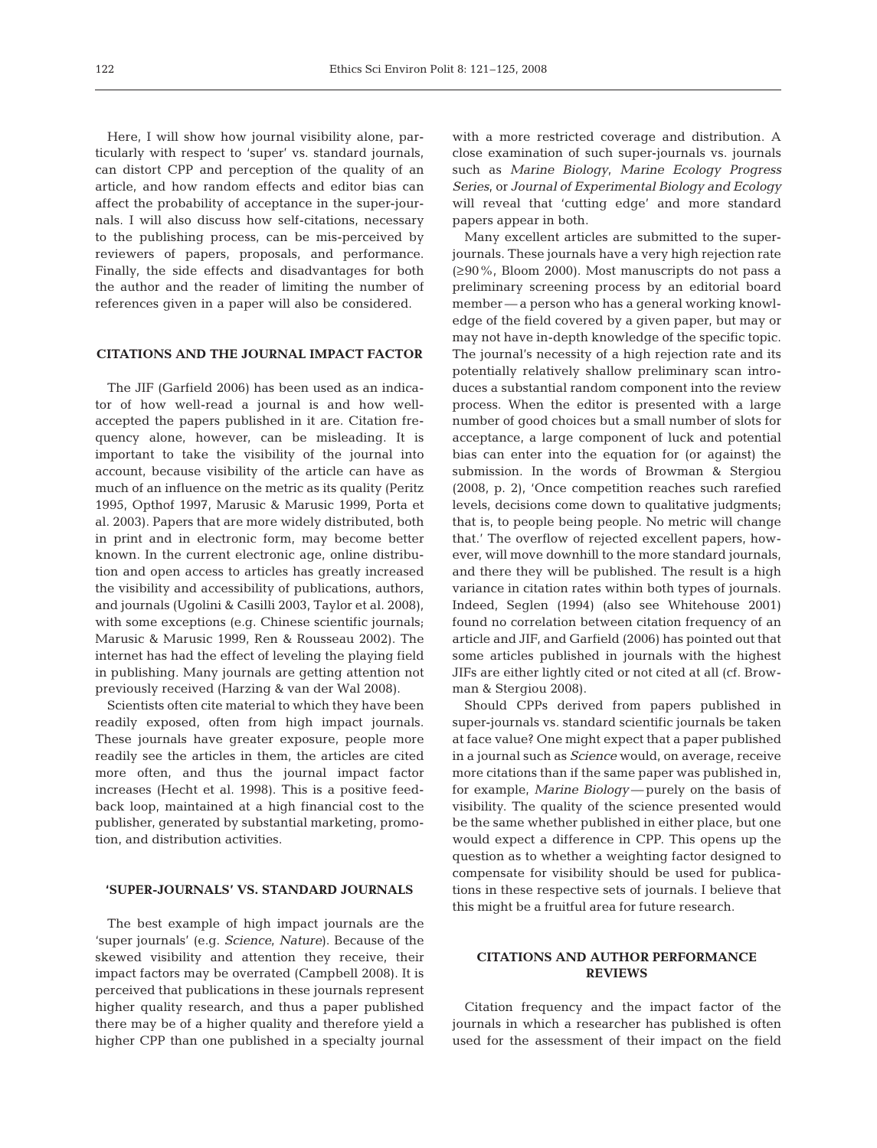Here, I will show how journal visibility alone, particularly with respect to 'super' vs. standard journals, can distort CPP and perception of the quality of an article, and how random effects and editor bias can affect the probability of acceptance in the super-journals. I will also discuss how self-citations, necessary to the publishing process, can be mis-perceived by reviewers of papers, proposals, and performance. Finally, the side effects and disadvantages for both the author and the reader of limiting the number of references given in a paper will also be considered.

#### **CITATIONS AND THE JOURNAL IMPACT FACTOR**

The JIF (Garfield 2006) has been used as an indicator of how well-read a journal is and how wellaccepted the papers published in it are. Citation frequency alone, however, can be misleading. It is important to take the visibility of the journal into account, because visibility of the article can have as much of an influence on the metric as its quality (Peritz 1995, Opthof 1997, Marusic & Marusic 1999, Porta et al. 2003). Papers that are more widely distributed, both in print and in electronic form, may become better known. In the current electronic age, online distribution and open access to articles has greatly increased the visibility and accessibility of publications, authors, and journals (Ugolini & Casilli 2003, Taylor et al. 2008), with some exceptions (e.g. Chinese scientific journals; Marusic & Marusic 1999, Ren & Rousseau 2002). The internet has had the effect of leveling the playing field in publishing. Many journals are getting attention not previously received (Harzing & van der Wal 2008).

Scientists often cite material to which they have been readily exposed, often from high impact journals. These journals have greater exposure, people more readily see the articles in them, the articles are cited more often, and thus the journal impact factor increases (Hecht et al. 1998). This is a positive feedback loop, maintained at a high financial cost to the publisher, generated by substantial marketing, promotion, and distribution activities.

#### **'SUPER-JOURNALS' VS. STANDARD JOURNALS**

The best example of high impact journals are the 'super journals' (e.g. *Science*, *Nature*). Because of the skewed visibility and attention they receive, their impact factors may be overrated (Campbell 2008). It is perceived that publications in these journals represent higher quality research, and thus a paper published there may be of a higher quality and therefore yield a higher CPP than one published in a specialty journal

with a more restricted coverage and distribution. A close examination of such super-journals vs. journals such as *Marine Biology*, *Marine Ecology Progress Series*, or *Journal of Experimental Biology and Ecology* will reveal that 'cutting edge' and more standard papers appear in both.

Many excellent articles are submitted to the superjournals. These journals have a very high rejection rate (≥90%, Bloom 2000). Most manuscripts do not pass a preliminary screening process by an editorial board member — a person who has a general working knowledge of the field covered by a given paper, but may or may not have in-depth knowledge of the specific topic. The journal's necessity of a high rejection rate and its potentially relatively shallow preliminary scan introduces a substantial random component into the review process. When the editor is presented with a large number of good choices but a small number of slots for acceptance, a large component of luck and potential bias can enter into the equation for (or against) the submission. In the words of Browman & Stergiou (2008, p. 2), 'Once competition reaches such rarefied levels, decisions come down to qualitative judgments; that is, to people being people. No metric will change that.' The overflow of rejected excellent papers, however, will move downhill to the more standard journals, and there they will be published. The result is a high variance in citation rates within both types of journals. Indeed, Seglen (1994) (also see Whitehouse 2001) found no correlation between citation frequency of an article and JIF, and Garfield (2006) has pointed out that some articles published in journals with the highest JIFs are either lightly cited or not cited at all (cf. Browman & Stergiou 2008).

Should CPPs derived from papers published in super-journals vs*.* standard scientific journals be taken at face value? One might expect that a paper published in a journal such as *Science* would, on average, receive more citations than if the same paper was published in, for example, *Marine Biology* — purely on the basis of visibility. The quality of the science presented would be the same whether published in either place, but one would expect a difference in CPP. This opens up the question as to whether a weighting factor designed to compensate for visibility should be used for publications in these respective sets of journals. I believe that this might be a fruitful area for future research.

## **CITATIONS AND AUTHOR PERFORMANCE REVIEWS**

Citation frequency and the impact factor of the journals in which a researcher has published is often used for the assessment of their impact on the field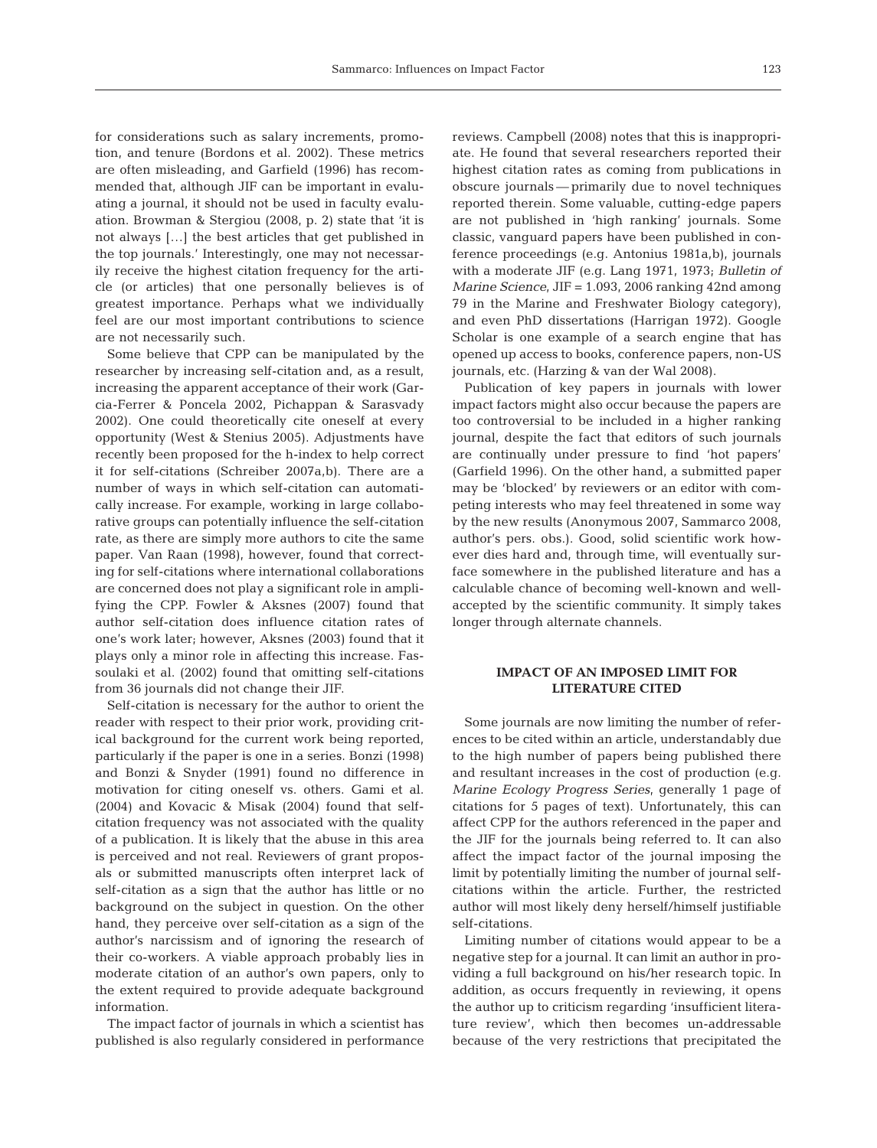for considerations such as salary increments, promotion, and tenure (Bordons et al. 2002). These metrics are often misleading, and Garfield (1996) has recommended that, although JIF can be important in evaluating a journal, it should not be used in faculty evaluation. Browman & Stergiou (2008, p. 2) state that 'it is not always […] the best articles that get published in the top journals.' Interestingly, one may not necessarily receive the highest citation frequency for the article (or articles) that one personally believes is of greatest importance. Perhaps what we individually feel are our most important contributions to science are not necessarily such.

Some believe that CPP can be manipulated by the researcher by increasing self-citation and, as a result, increasing the apparent acceptance of their work (Garcia-Ferrer & Poncela 2002, Pichappan & Sarasvady 2002). One could theoretically cite oneself at every opportunity (West & Stenius 2005). Adjustments have recently been proposed for the h-index to help correct it for self-citations (Schreiber 2007a,b). There are a number of ways in which self-citation can automatically increase. For example, working in large collaborative groups can potentially influence the self-citation rate, as there are simply more authors to cite the same paper. Van Raan (1998), however, found that correcting for self-citations where international collaborations are concerned does not play a significant role in amplifying the CPP. Fowler & Aksnes (2007) found that author self-citation does influence citation rates of one's work later; however, Aksnes (2003) found that it plays only a minor role in affecting this increase. Fassoulaki et al. (2002) found that omitting self-citations from 36 journals did not change their JIF.

Self-citation is necessary for the author to orient the reader with respect to their prior work, providing critical background for the current work being reported, particularly if the paper is one in a series. Bonzi (1998) and Bonzi & Snyder (1991) found no difference in motivation for citing oneself vs. others. Gami et al. (2004) and Kovacic & Misak (2004) found that selfcitation frequency was not associated with the quality of a publication. It is likely that the abuse in this area is perceived and not real. Reviewers of grant proposals or submitted manuscripts often interpret lack of self-citation as a sign that the author has little or no background on the subject in question. On the other hand, they perceive over self-citation as a sign of the author's narcissism and of ignoring the research of their co-workers. A viable approach probably lies in moderate citation of an author's own papers, only to the extent required to provide adequate background information.

The impact factor of journals in which a scientist has published is also regularly considered in performance reviews. Campbell (2008) notes that this is inappropriate. He found that several researchers reported their highest citation rates as coming from publications in obscure journals — primarily due to novel techniques reported therein. Some valuable, cutting-edge papers are not published in 'high ranking' journals. Some classic, vanguard papers have been published in conference proceedings (e.g. Antonius 1981a,b), journals with a moderate JIF (e.g. Lang 1971, 1973; *Bulletin of Marine Science*, JIF = 1.093, 2006 ranking 42nd among 79 in the Marine and Freshwater Biology category), and even PhD dissertations (Harrigan 1972). Google Scholar is one example of a search engine that has opened up access to books, conference papers, non-US journals, etc. (Harzing & van der Wal 2008).

Publication of key papers in journals with lower impact factors might also occur because the papers are too controversial to be included in a higher ranking journal, despite the fact that editors of such journals are continually under pressure to find 'hot papers' (Garfield 1996). On the other hand, a submitted paper may be 'blocked' by reviewers or an editor with competing interests who may feel threatened in some way by the new results (Anonymous 2007, Sammarco 2008, author's pers. obs.). Good, solid scientific work however dies hard and, through time, will eventually surface somewhere in the published literature and has a calculable chance of becoming well-known and wellaccepted by the scientific community. It simply takes longer through alternate channels.

### **IMPACT OF AN IMPOSED LIMIT FOR LITERATURE CITED**

Some journals are now limiting the number of references to be cited within an article, understandably due to the high number of papers being published there and resultant increases in the cost of production (e.g. *Marine Ecology Progress Series*, generally 1 page of citations for 5 pages of text). Unfortunately, this can affect CPP for the authors referenced in the paper and the JIF for the journals being referred to. It can also affect the impact factor of the journal imposing the limit by potentially limiting the number of journal selfcitations within the article. Further, the restricted author will most likely deny herself/himself justifiable self-citations.

Limiting number of citations would appear to be a negative step for a journal. It can limit an author in providing a full background on his/her research topic. In addition, as occurs frequently in reviewing, it opens the author up to criticism regarding 'insufficient literature review', which then becomes un-addressable because of the very restrictions that precipitated the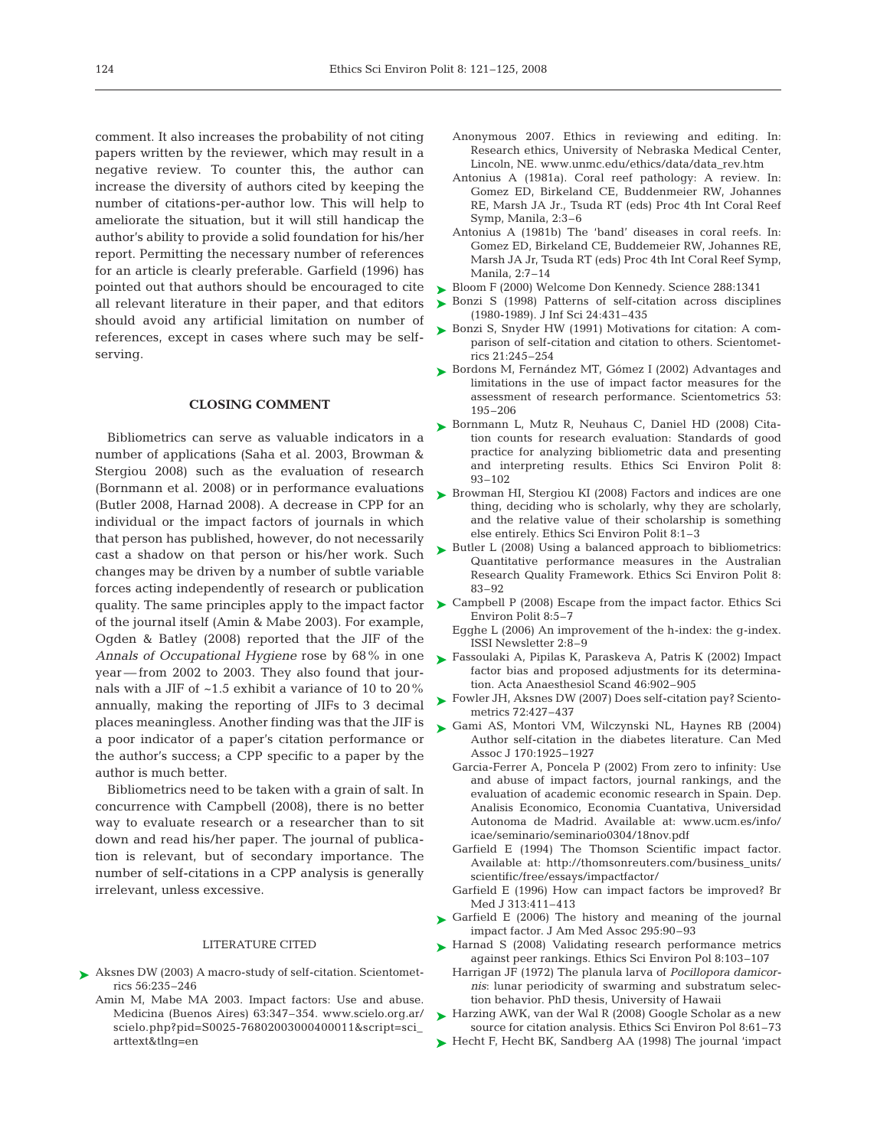comment. It also increases the probability of not citing papers written by the reviewer, which may result in a negative review. To counter this, the author can increase the diversity of authors cited by keeping the number of citations-per-author low. This will help to ameliorate the situation, but it will still handicap the author's ability to provide a solid foundation for his/her report. Permitting the necessary number of references for an article is clearly preferable. Garfield (1996) has pointed out that authors should be encouraged to cite all relevant literature in their paper, and that editors should avoid any artificial limitation on number of references, except in cases where such may be selfserving.

#### **CLOSING COMMENT**

Bibliometrics can serve as valuable indicators in a number of applications (Saha et al. 2003, Browman & Stergiou 2008) such as the evaluation of research (Bornmann et al. 2008) or in performance evaluations (Butler 2008, Harnad 2008). A decrease in CPP for an individual or the impact factors of journals in which that person has published, however, do not necessarily cast a shadow on that person or his/her work. Such changes may be driven by a number of subtle variable forces acting independently of research or publication of the journal itself (Amin & Mabe 2003). For example, Ogden & Batley (2008) reported that the JIF of the *Annals of Occupational Hygiene* rose by 68% in one year — from 2002 to 2003. They also found that journals with a JIF of ~1.5 exhibit a variance of 10 to 20% annually, making the reporting of JIFs to 3 decimal places meaningless. Another finding was that the JIF is a poor indicator of a paper's citation performance or the author's success; a CPP specific to a paper by the author is much better.

Bibliometrics need to be taken with a grain of salt. In concurrence with Campbell (2008), there is no better way to evaluate research or a researcher than to sit down and read his/her paper. The journal of publication is relevant, but of secondary importance. The number of self-citations in a CPP analysis is generally irrelevant, unless excessive.

#### LITERATURE CITED

- ▶ Aksnes DW (2003) A macro-study of self-citation. Scientometrics 56:235–246
	- Amin M, Mabe MA 2003. Impact factors: Use and abuse. Medicina (Buenos Aires) 63:347–354. www.scielo.org.ar/ scielo.php?pid=S0025-76802003000400011&script=sci\_ arttext&tlng=en
- Anonymous 2007. Ethics in reviewing and editing. In: Research ethics, University of Nebraska Medical Center, Lincoln, NE. www.unmc.edu/ethics/data/data\_rev.htm
- Antonius A (1981a). Coral reef pathology: A review. In: Gomez ED, Birkeland CE, Buddenmeier RW, Johannes RE, Marsh JA Jr., Tsuda RT (eds) Proc 4th Int Coral Reef Symp, Manila, 2:3–6
- Antonius A (1981b) The 'band' diseases in coral reefs. In: Gomez ED, Birkeland CE, Buddemeier RW, Johannes RE, Marsh JA Jr, Tsuda RT (eds) Proc 4th Int Coral Reef Symp, Manila, 2:7–14
- ► Bloom F (2000) Welcome Don Kennedy. Science 288:1341
- ► Bonzi S (1998) Patterns of self-citation across disciplines (1980-1989). J Inf Sci 24:431–435
- ► Bonzi S, Snyder HW (1991) Motivations for citation: A comparison of self-citation and citation to others. Scientometrics 21:245–254
- ► Bordons M, Fernández MT, Gómez I (2002) Advantages and limitations in the use of impact factor measures for the assessment of research performance. Scientometrics 53: 195–206
- ► Bornmann L, Mutz R, Neuhaus C, Daniel HD (2008) Citation counts for research evaluation: Standards of good practice for analyzing bibliometric data and presenting and interpreting results. Ethics Sci Environ Polit 8: 93–102
- ► Browman HI, Stergiou KI (2008) Factors and indices are one thing, deciding who is scholarly, why they are scholarly, and the relative value of their scholarship is something else entirely. Ethics Sci Environ Polit 8:1–3
- ► Butler L (2008) Using a balanced approach to bibliometrics: Quantitative performance measures in the Australian Research Quality Framework. Ethics Sci Environ Polit 8: 83–92
- quality. The same principles apply to the impact factor  $\triangleright$  Campbell P (2008) Escape from the impact factor. Ethics Sci Environ Polit 8:5–7
	- Egghe L (2006) An improvement of the h-index: the g-index. ISSI Newsletter 2:8–9
	- Fassoulaki A, Pipilas K, Paraskeva A, Patris K (2002) Impact ➤ factor bias and proposed adjustments for its determination. Acta Anaesthesiol Scand 46:902–905
	- ► Fowler JH, Aksnes DW (2007) Does self-citation pay? Scientometrics 72:427–437
	- Gami AS, Montori VM, Wilczynski NL, Haynes RB (2004) ➤ Author self-citation in the diabetes literature. Can Med Assoc J 170:1925–1927
		- Garcia-Ferrer A, Poncela P (2002) From zero to infinity: Use and abuse of impact factors, journal rankings, and the evaluation of academic economic research in Spain. Dep. Analisis Economico, Economia Cuantativa, Universidad Autonoma de Madrid. Available at: www.ucm.es/info/ icae/seminario/seminario0304/18nov.pdf
		- Garfield E (1994) The Thomson Scientific impact factor. Available at: http://thomsonreuters.com/business\_units/ scientific/free/essays/impactfactor/
		- Garfield E (1996) How can impact factors be improved? Br Med J 313:411–413
	- ► Garfield E (2006) The history and meaning of the journal impact factor. J Am Med Assoc 295:90–93
	- ▶ Harnad S (2008) Validating research performance metrics against peer rankings. Ethics Sci Environ Pol 8:103–107
		- Harrigan JF (1972) The planula larva of *Pocillopora damicornis*: lunar periodicity of swarming and substratum selection behavior. PhD thesis, University of Hawaii
	- ► Harzing AWK, van der Wal R (2008) Google Scholar as a new source for citation analysis. Ethics Sci Environ Pol 8:61–73
	- ► Hecht F, Hecht BK, Sandberg AA (1998) The journal 'impact